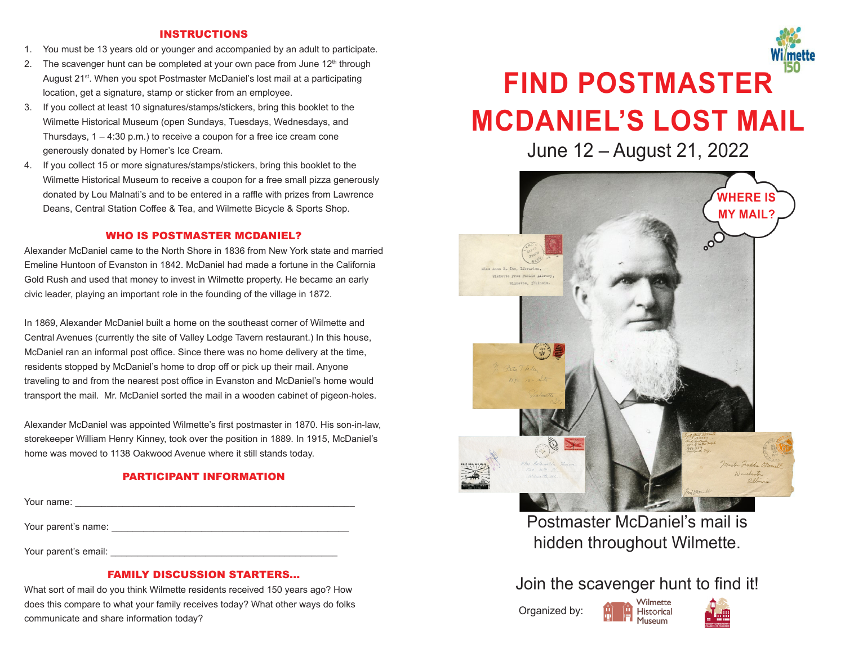#### INSTRUCTIONS

- 1. You must be 13 years old or younger and accompanied by an adult to participate.
- 2. The scavenger hunt can be completed at your own pace from June  $12<sup>th</sup>$  through August 21<sup>st</sup>. When you spot Postmaster McDaniel's lost mail at a participating location, get a signature, stamp or sticker from an employee.
- 3. If you collect at least 10 signatures/stamps/stickers, bring this booklet to the Wilmette Historical Museum (open Sundays, Tuesdays, Wednesdays, and Thursdays, 1 – 4:30 p.m.) to receive a coupon for a free ice cream cone generously donated by Homer's Ice Cream.
- 4. If you collect 15 or more signatures/stamps/stickers, bring this booklet to the Wilmette Historical Museum to receive a coupon for a free small pizza generously donated by Lou Malnati's and to be entered in a raffle with prizes from Lawrence Deans, Central Station Coffee & Tea, and Wilmette Bicycle & Sports Shop.

#### WHO IS POSTMASTER MCDANIEL?

Alexander McDaniel came to the North Shore in 1836 from New York state and married Emeline Huntoon of Evanston in 1842. McDaniel had made a fortune in the California Gold Rush and used that money to invest in Wilmette property. He became an early civic leader, playing an important role in the founding of the village in 1872.

In 1869, Alexander McDaniel built a home on the southeast corner of Wilmette and Central Avenues (currently the site of Valley Lodge Tavern restaurant.) In this house, McDaniel ran an informal post office. Since there was no home delivery at the time, residents stopped by McDaniel's home to drop off or pick up their mail. Anyone traveling to and from the nearest post office in Evanston and McDaniel's home would transport the mail. Mr. McDaniel sorted the mail in a wooden cabinet of pigeon-holes.

Alexander McDaniel was appointed Wilmette's first postmaster in 1870. His son-in-law, storekeeper William Henry Kinney, took over the position in 1889. In 1915, McDaniel's home was moved to 1138 Oakwood Avenue where it still stands today.

### PARTICIPANT INFORMATION

Your name: \_\_\_\_\_\_\_\_\_\_\_\_\_\_\_\_\_\_\_\_\_\_\_\_\_\_\_\_\_\_\_\_\_\_\_\_\_\_\_\_\_\_\_\_\_\_\_\_\_\_\_\_\_

Your parent's name: \_\_\_\_\_\_\_\_\_\_\_\_\_\_\_\_\_\_\_\_\_\_\_\_\_\_\_\_\_\_\_\_\_\_\_\_\_\_\_\_\_\_\_\_\_

Your parent's email:

#### FAMILY DISCUSSION STARTERS...

What sort of mail do you think Wilmette residents received 150 years ago? How does this compare to what your family receives today? What other ways do folks communicate and share information today?

# **FIND POSTMASTER MCDANIEL'S LOST MAIL**

June 12 – August 21, 2022



Postmaster McDaniel's mail is hidden throughout Wilmette.

## Join the scavenger hunt to find it!

Organized by: